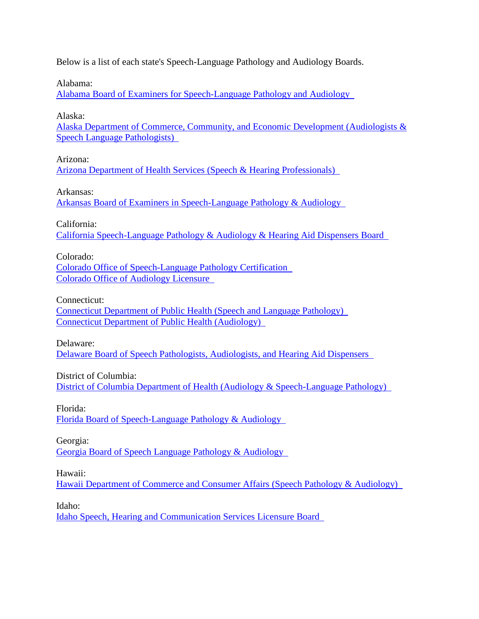Below is a list of each state's Speech-Language Pathology and Audiology Boards.

Alabama:

[Alabama Board of Examiners for Speech-Language Pathology and Audiology](http://abespa.alabama.gov/) 

Alaska:

[Alaska Department of Commerce, Community, and Economic Development \(Audiologists &](https://www.commerce.alaska.gov/web/cbpl/professionallicensing/audiologistsandspeech-languagepathologists.aspx)  [Speech Language Pathologists\)](https://www.commerce.alaska.gov/web/cbpl/professionallicensing/audiologistsandspeech-languagepathologists.aspx) 

Arizona:

[Arizona Department of Health Services \(Speech & Hearing Professionals\)](https://azdhs.gov/licensing/special/index.php#speech-hearing-home) 

Arkansas:

[Arkansas Board of Examiners in Speech-Language Pathology & Audiology](http://www.abespa.com/) 

California:

[California Speech-Language Pathology & Audiology & Hearing Aid Dispensers Board](http://www.speechandhearing.ca.gov/) 

Colorado:

[Colorado Office of Speech-Language Pathology Certification](https://www.colorado.gov/pacific/dora/Speech_Language_Pathology)  [Colorado Office of Audiology Licensure](https://www.colorado.gov/pacific/dora/Audiology) 

Connecticut:

[Connecticut Department of Public Health \(Speech and Language Pathology\)](https://portal.ct.gov/DPH/Practitioner-Licensing--Investigations/SLP/Speech-and-Language-Pathologist--Licensure)  [Connecticut Department of Public Health \(Audiology\)](https://portal.ct.gov/DPH/Practitioner-Licensing--Investigations/Audiologist-Licensure/Audiologist-Licensure) 

Delaware:

[Delaware Board of Speech Pathologists, Audiologists, and Hearing Aid Dispensers](https://dpr.delaware.gov/boards/speechaudio/) 

District of Columbia:

[District of Columbia Department of Health \(Audiology & Speech-Language Pathology\)](https://dchealth.dc.gov/node/118542) 

Florida: [Florida Board of Speech-Language Pathology & Audiology](http://floridasspeechaudiology.gov/) 

Georgia:

[Georgia Board of Speech Language Pathology & Audiology](http://sos.ga.gov/index.php/licensing/plb/49) 

Hawaii:

[Hawaii Department of Commerce and Consumer Affairs \(Speech Pathology & Audiology\)](http://cca.hawaii.gov/pvl/boards/speech/) 

Idaho:

[Idaho Speech, Hearing and Communication Services Licensure Board](https://ibol.idaho.gov/IBOL/BoardPage.aspx?Bureau=shs)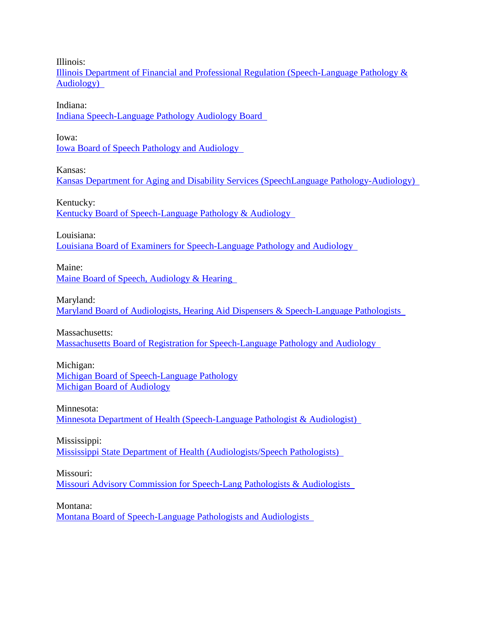Illinois:

[Illinois Department of Financial and Professional Regulation \(Speech-Language Pathology &](https://www.idfpr.com/profs/SpeechLangAudio.asp)  [Audiology\)](https://www.idfpr.com/profs/SpeechLangAudio.asp) 

Indiana:

[Indiana Speech-Language Pathology Audiology Board](https://www.in.gov/pla/speech.htm) 

Iowa:

[Iowa Board of Speech Pathology and Audiology](https://idph.iowa.gov/Licensure/Iowa-Board-of-Speech-Pathology-and-Audiology) 

Kansas:

[Kansas Department for Aging and Disability Services \(SpeechLanguage Pathology-Audiology\)](https://www.kdads.ks.gov/commissions/survey-certification-and-credentialing-commission/health-occupations-credentialing) 

Kentucky:

[Kentucky Board of Speech-Language Pathology & Audiology](http://slp.ky.gov/Pages/default.aspx) 

Louisiana:

[Louisiana Board of Examiners for Speech-Language Pathology and Audiology](https://www.lbespa.org/) 

Maine:

[Maine Board of Speech, Audiology & Hearing](http://www.maine.gov/pfr/professionallicensing/professions/speech_audiology_hearing_aid/index.html) 

Maryland:

[Maryland Board of Audiologists, Hearing Aid Dispensers & Speech-Language Pathologists](https://health.maryland.gov/boardsahs/Pages/Index.aspx) 

Massachusetts:

[Massachusetts Board of Registration for Speech-Language Pathology and Audiology](https://www.mass.gov/orgs/board-of-registration-for-speech-language-pathology-and-audiology) 

Michigan: [Michigan Board of Speech-Language Pathology](http://www.michigan.gov/lara/0,4601,7-154-72600_72603_27529_53664-216641--,00.html)

[Michigan Board of Audiology](http://www.michigan.gov/lara/0,4601,7-154-72600_72603_27529_31491-96271--,00.html)

Minnesota: [Minnesota Department of Health \(Speech-Language Pathologist & Audiologist\)](https://www.health.state.mn.us/facilities/providers/slpa/index.html) 

Mississippi:

[Mississippi State Department of Health \(Audiologists/Speech Pathologists\)](https://msdh.ms.gov/msdhsite/_static/30,0,82.html) 

Missouri:

[Missouri Advisory Commission for Speech-Lang Pathologists & Audiologists](http://pr.mo.gov/speech.asp) 

Montana:

[Montana Board of Speech-Language Pathologists and Audiologists](http://boards.bsd.dli.mt.gov/slp)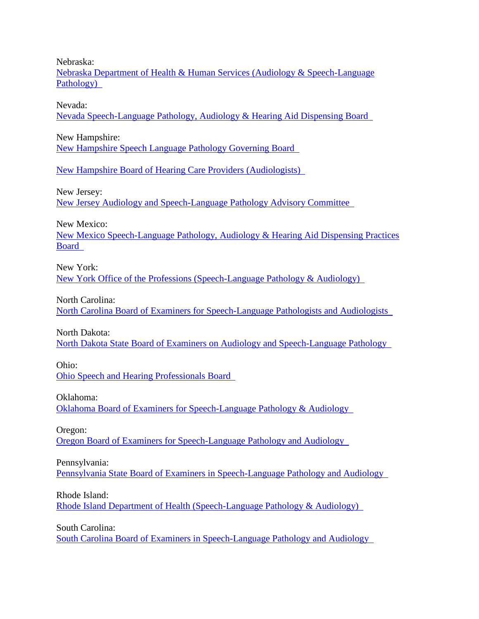Nebraska:

[Nebraska Department of Health & Human Services \(Audiology & Speech-Language](http://dhhs.ne.gov/licensure/Pages/Audiology-and-Speech-Language-Pathology.aspx)  [Pathology\)](http://dhhs.ne.gov/licensure/Pages/Audiology-and-Speech-Language-Pathology.aspx) 

Nevada:

[Nevada Speech-Language Pathology, Audiology & Hearing Aid Dispensing Board](http://www.nvspeechhearing.org/) 

New Hampshire:

[New Hampshire Speech Language Pathology Governing Board](https://www.oplc.nh.gov/allied-health/speech-language.htm) 

[New Hampshire Board of Hearing Care Providers \(Audiologists\)](https://www.oplc.nh.gov/hearing-care/) 

New Jersey:

[New Jersey Audiology and Speech-Language Pathology Advisory Committee](http://www.njconsumeraffairs.gov/aud/) 

New Mexico:

[New Mexico Speech-Language Pathology, Audiology & Hearing Aid Dispensing Practices](http://www.rld.state.nm.us/boards/speech_language_pathology_audiology_and_hearing_aid_dispensing_practices.aspx)  [Board](http://www.rld.state.nm.us/boards/speech_language_pathology_audiology_and_hearing_aid_dispensing_practices.aspx) 

New York:

[New York Office of the Professions \(Speech-Language Pathology & Audiology\)](http://www.op.nysed.gov/prof/slpa/) 

North Carolina:

[North Carolina Board of Examiners for Speech-Language Pathologists and Audiologists](http://www.ncboeslpa.org/) 

North Dakota:

[North Dakota State Board of Examiners on Audiology and Speech-Language Pathology](http://www.ndsbe.com/) 

Ohio:

[Ohio Speech and Hearing Professionals Board](http://slpaud.ohio.gov/) 

Oklahoma:

[Oklahoma Board of Examiners for Speech-Language Pathology & Audiology](https://www.ok.gov/obespa/) 

Oregon:

[Oregon Board of Examiners for Speech-Language Pathology and Audiology](http://www.oregon.gov/bspa/Pages/index.aspx) 

Pennsylvania:

[Pennsylvania State Board of Examiners in Speech-Language Pathology and Audiology](http://www.dos.pa.gov/ProfessionalLicensing/BoardsCommissions/Speech-Language%20Pathology%20and%20Audiology/Pages/default.aspx) 

Rhode Island:

[Rhode Island Department of Health \(Speech-Language Pathology & Audiology\)](http://health.ri.gov/licenses/detail.php?id=246) 

South Carolina:

[South Carolina Board of Examiners in Speech-Language Pathology and Audiology](http://www.llr.state.sc.us/POL/Speech/)